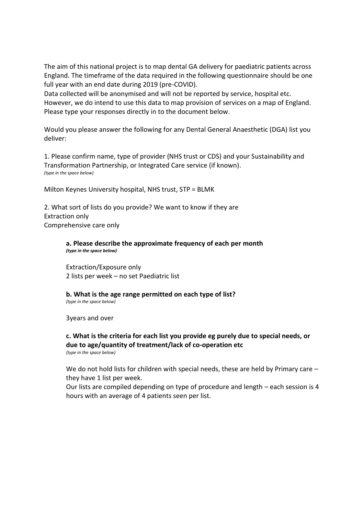The aim of this national project is to map dental GA delivery for paediatric patients across England. The timeframe of the data required in the following questionnaire should be one full year with an end date during 2019 (pre-COVID).

Data collected will be anonymised and will not be reported by service, hospital etc. However, we do intend to use this data to map provision of services on a map of England. Please type your responses directly in to the document below.

Would you please answer the following for any Dental General Anaesthetic (DGA) list you deliver:

1. Please confirm name, type of provider (NHS trust or CDS) and your Sustainability and Transformation Partnership, or Integrated Care service (if known). *(type in the space below)*

Milton Keynes University hospital, NHS trust, STP = BLMK

2. What sort of lists do you provide? We want to know if they are Extraction only Comprehensive care only

> **a. Please describe the approximate frequency of each per month** *(type in the space below)*

Extraction/Exposure only 2 lists per week – no set Paediatric list

**b. What is the age range permitted on each type of list?** *(type in the space below)*

3years and over

## **c. What is the criteria for each list you provide eg purely due to special needs, or due to age/quantity of treatment/lack of co-operation etc** *(type in the space below)*

We do not hold lists for children with special needs, these are held by Primary care – they have 1 list per week.

Our lists are compiled depending on type of procedure and length – each session is 4 hours with an average of 4 patients seen per list.